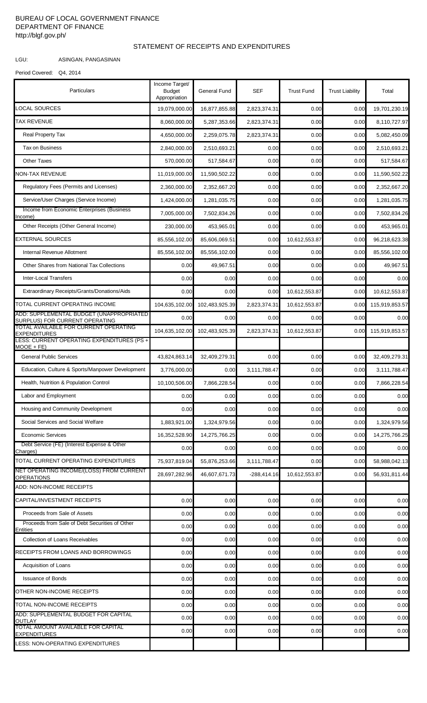## BUREAU OF LOCAL GOVERNMENT FINANCE DEPARTMENT OF FINANCE http://blgf.gov.ph/

## STATEMENT OF RECEIPTS AND EXPENDITURES

LGU: ASINGAN, PANGASINAN

```
Period Covered: Q4, 2014
```

| Particulars                                                                 | Income Target/<br><b>Budget</b><br>Appropriation | General Fund   | SEF           | <b>Trust Fund</b> | <b>Trust Liability</b> | Total          |
|-----------------------------------------------------------------------------|--------------------------------------------------|----------------|---------------|-------------------|------------------------|----------------|
| LOCAL SOURCES                                                               | 19,079,000.00                                    | 16,877,855.88  | 2,823,374.31  | 0.00              | 0.00                   | 19,701,230.19  |
| <b>TAX REVENUE</b>                                                          | 8,060,000.00                                     | 5,287,353.66   | 2,823,374.31  | 0.00              | 0.00                   | 8,110,727.97   |
| <b>Real Property Tax</b>                                                    | 4,650,000.00                                     | 2,259,075.78   | 2,823,374.31  | 0.00              | 0.00                   | 5,082,450.09   |
| <b>Tax on Business</b>                                                      | 2,840,000.00                                     | 2,510,693.21   | 0.00          | 0.00              | 0.00                   | 2,510,693.21   |
| <b>Other Taxes</b>                                                          | 570,000.00                                       | 517,584.67     | 0.00          | 0.00              | 0.00                   | 517,584.67     |
| <b>NON-TAX REVENUE</b>                                                      | 11,019,000.00                                    | 11,590,502.22  | 0.00          | 0.00              | 0.00                   | 11,590,502.22  |
| Regulatory Fees (Permits and Licenses)                                      | 2,360,000.00                                     | 2,352,667.20   | 0.00          | 0.00              | 0.00                   | 2,352,667.20   |
| Service/User Charges (Service Income)                                       | 1,424,000.00                                     | 1,281,035.75   | 0.00          | 0.00              | 0.00                   | 1,281,035.75   |
| Income from Economic Enterprises (Business<br>Income)                       | 7,005,000.00                                     | 7,502,834.26   | 0.00          | 0.00              | 0.00                   | 7,502,834.26   |
| Other Receipts (Other General Income)                                       | 230,000.00                                       | 453,965.01     | 0.00          | 0.00              | 0.00                   | 453,965.01     |
| <b>EXTERNAL SOURCES</b>                                                     | 85,556,102.00                                    | 85,606,069.51  | 0.00          | 10,612,553.87     | 0.00                   | 96,218,623.38  |
| Internal Revenue Allotment                                                  | 85,556,102.00                                    | 85,556,102.00  | 0.00          | 0.00              | 0.00                   | 85,556,102.00  |
| Other Shares from National Tax Collections                                  | 0.00                                             | 49,967.51      | 0.00          | 0.00              | 0.00                   | 49,967.51      |
| Inter-Local Transfers                                                       | 0.00                                             | 0.00           | 0.00          | 0.00              | 0.00                   | 0.00           |
| Extraordinary Receipts/Grants/Donations/Aids                                | 0.00                                             | 0.00           | 0.00          | 10,612,553.87     | 0.00                   | 10,612,553.87  |
| TOTAL CURRENT OPERATING INCOME                                              | 104,635,102.00                                   | 102,483,925.39 | 2,823,374.31  | 10,612,553.87     | 0.00                   | 115,919,853.57 |
| ADD: SUPPLEMENTAL BUDGET (UNAPPROPRIATED)<br>SURPLUS) FOR CURRENT OPERATING | 0.00                                             | 0.00           | 0.00          | 0.00              | 0.00                   | 0.00           |
| TOTAL AVAILABLE FOR CURRENT OPERATING<br><b>EXPENDITURES</b>                | 104,635,102.00                                   | 102,483,925.39 | 2,823,374.31  | 10,612,553.87     | 0.00                   | 115,919,853.57 |
| LESS: CURRENT OPERATING EXPENDITURES (PS +<br>$MOOE + FE)$                  |                                                  |                |               |                   |                        |                |
| <b>General Public Services</b>                                              | 43,824,863.14                                    | 32,409,279.31  | 0.00          | 0.00              | 0.00                   | 32,409,279.31  |
| Education, Culture & Sports/Manpower Development                            | 3,776,000.00                                     | 0.00           | 3,111,788.47  | 0.00              | 0.00                   | 3,111,788.47   |
| Health, Nutrition & Population Control                                      | 10,100,506.00                                    | 7,866,228.54   | 0.00          | 0.00              | 0.00                   | 7,866,228.54   |
| Labor and Employment                                                        | 0.00                                             | 0.00           | 0.00          | 0.00              | 0.00                   | 0.00           |
| Housing and Community Development                                           | 0.00                                             | 0.00           | 0.00          | 0.00              | 0.00                   | 0.00           |
| Social Services and Social Welfare                                          | 1,883,921.00                                     | 1,324,979.56   | 0.00          | 0.00              | 0.00                   | 1,324,979.56   |
| <b>Economic Services</b>                                                    | 16,352,528.90                                    | 14,275,766.25  | 0.00          | 0.00              | 0.00                   | 14,275,766.25  |
| Debt Service (FE) (Interest Expense & Other<br>Charges)                     | 0.00                                             | 0.00           | 0.00          | 0.00              | 0.00                   | 0.00           |
| TOTAL CURRENT OPERATING EXPENDITURES                                        | 75,937,819.04                                    | 55,876,253.66  | 3,111,788.47  | 0.00              | 0.00                   | 58,988,042.13  |
| NET OPERATING INCOME/(LOSS) FROM CURRENT<br><b>OPERATIONS</b>               | 28,697,282.96                                    | 46,607,671.73  | $-288,414.16$ | 10,612,553.87     | 0.00                   | 56,931,811.44  |
| ADD: NON-INCOME RECEIPTS                                                    |                                                  |                |               |                   |                        |                |
| CAPITAL/INVESTMENT RECEIPTS                                                 | 0.00                                             | 0.00           | 0.00          | 0.00              | 0.00                   | 0.00           |
| Proceeds from Sale of Assets                                                | 0.00                                             | 0.00           | 0.00          | 0.00              | 0.00                   | 0.00           |
| Proceeds from Sale of Debt Securities of Other<br><b>Entities</b>           | 0.00                                             | 0.00           | 0.00          | 0.00              | 0.00                   | 0.00           |
| <b>Collection of Loans Receivables</b>                                      | 0.00                                             | 0.00           | 0.00          | 0.00              | 0.00                   | 0.00           |
| RECEIPTS FROM LOANS AND BORROWINGS                                          | 0.00                                             | 0.00           | 0.00          | 0.00              | 0.00                   | 0.00           |
| Acquisition of Loans                                                        | 0.00                                             | 0.00           | 0.00          | 0.00              | 0.00                   | 0.00           |
| <b>Issuance of Bonds</b>                                                    | 0.00                                             | 0.00           | 0.00          | 0.00              | 0.00                   | 0.00           |
| OTHER NON-INCOME RECEIPTS                                                   | 0.00                                             | 0.00           | 0.00          | 0.00              | 0.00                   | 0.00           |
| TOTAL NON-INCOME RECEIPTS                                                   | 0.00                                             | 0.00           | 0.00          | 0.00              | 0.00                   | 0.00           |
| ADD: SUPPLEMENTAL BUDGET FOR CAPITAL<br><b>OUTLAY</b>                       | 0.00                                             | 0.00           | 0.00          | 0.00              | 0.00                   | 0.00           |
| TOTAL AMOUNT AVAILABLE FOR CAPITAL<br><b>EXPENDITURES</b>                   | 0.00                                             | 0.00           | 0.00          | 0.00              | 0.00                   | 0.00           |
| LESS: NON-OPERATING EXPENDITURES                                            |                                                  |                |               |                   |                        |                |